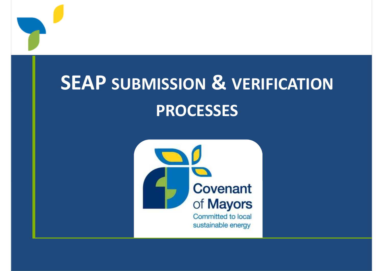

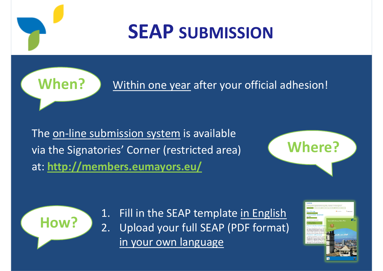### **SEAP SUBMISSION**

**When?**

Within one year after your official adhesion!

The <u>on-line submission system</u> is available<br>——————————————————— via the Signatories' Corner (restricted area)at: **http://members.eumayors.eu/**





1. Fill in the SEAP template in English<br>2. Upload your full SEAP (PDF format) 2. Upload your full SEAP (PDF format) in your own language

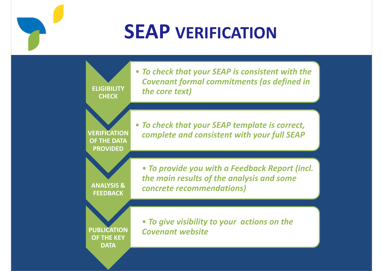### **SEAP VERIFICATION**

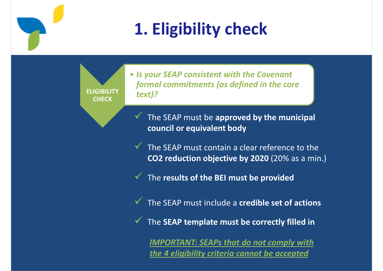### **1. Eligibility check**

**ELIGIBILITY CHECK**

• *Is your SEAP consistent with the Covenant formal commitments (as defined in the core text)?*

 $\checkmark$  The SEAP must be **approved by the municipal council or equivalent body**

The SEAP must contain a clear reference to the **CO2 reduction objective by 2020** (20% as a min.)

 $\checkmark$  The results of the BEI must be provided

The SEAP must include a **credible set of actions**

The **SEAP template must be correctly filled in**

*IMPORTANT: SEAPs that do not comply with the 4 eligibility criteria cannot be accepted*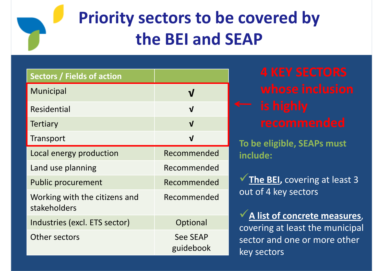### **Priority sectors to be covered by the BEI and SEAP**

| <b>Sectors / Fields of action</b>             |                              |
|-----------------------------------------------|------------------------------|
| <b>Municipal</b>                              |                              |
| <b>Residential</b>                            | $\overline{\mathsf{V}}$      |
| <b>Tertiary</b>                               | $\mathbf{V}$                 |
| Transport                                     | $\mathbf v$                  |
| Local energy production                       | Recommended                  |
| Land use planning                             | Recommended                  |
| <b>Public procurement</b>                     | Recommended                  |
| Working with the citizens and<br>stakeholders | Recommended                  |
| Industries (excl. ETS sector)                 | Optional                     |
| Other sectors                                 | <b>See SEAP</b><br>guidebook |

**To be eligible, SEAPs must include:**

**√ The BEI,** covering at least 3 out of 4 key sectors

**A list of concrete measures**, covering at least the municipal sector and one or more other key sectors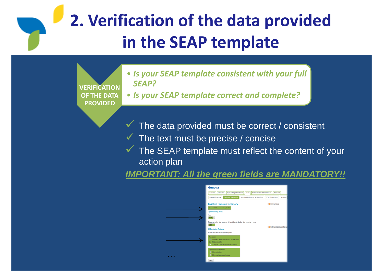### **2. Verification of the data provided in the SEAP template**

**VERIFICATION OF THE DATA PROVIDED**

- *Is your SEAP template consistent with your full SEAP?*
- *Is your SEAP template correct and complete?*
- $\checkmark$ The data provided must be correct / consistent
- $\checkmark$ The text must be precise / concise
- $\checkmark$  The SEAP template must reflect the content of your<br>action plan action plan

**IMPORTANT: All the green fields are MANDATORY!!**

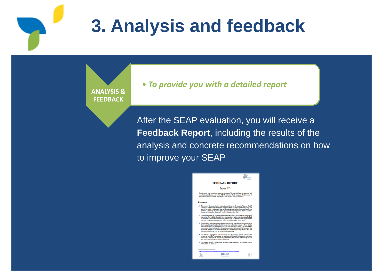### **3. Analysis and feedback**

**ANALYSIS & FEEDBACK**

#### • *To provide you with a detailed report*

After the SEAP evaluation, you will receive a **Feedback Report**, including the results of the analysis and concrete recommendations on howto improve your SEAP

#### ð. **FEEDBACK REPORT** Genova (IT) Thank you for your commitment under the Covenant of Mayon (CaM) and for rulemiting tool<br>your Sustainable Energy Action Plan (SEAP) and your SEAP template. The Covenant of<br>Mayon Technical Helpdesic is pleased to provide you Foreword 1. The present document is the feedback report from the Covenant of Mayon (CaAO)<br>The incidental Halongs and proposition of particular in Europy Action Plan (22.6). The anti-of-fit is proposed<br>aim of this report is to high report is based on a scheme that we have recently setup and is therefore continuously<br>nying We would be pleased to have your opinion so that we can improve our feedback<br>is farce. Evital effect, we would be practicely compa :<br>feedback report summarizes the main results of both computerised and manual di has our analysis performed on fired in you inserted in the collect employer. These clocks is a summer of the parameter of the state of the state of the state of the state of the state of the state of the state of the stat adback: follown tha atmotture of the "Fen Any alements to keep in mind when<br>email peincylin are limed to the guidabode (p. 9). As raid in the guidabode, there i<br>email peincylin are limed to the commitment trices by the Cov escare fractuale classifies innus, according to thair importance. The edifferent classic<br>Classic top financiale:  $\blacksquare$  JRC  $-185$ ie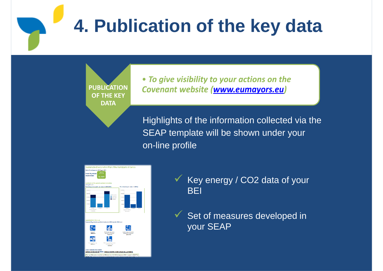## **4. Publication of the key data**

**PUBLICATION OF THE KEY DATA**

• *To give visibility to your actions on the Covenant website (www.eumayors.eu) website* 

Highlights of the information collected via theSEAP template will be shown under youron-line profile



- $\sqrt{\frac{1}{1}}$  Key energy / CO2 data of your **BEI**
- $\checkmark$  Set of measures developed in<br>
Your SEAP your SEAP